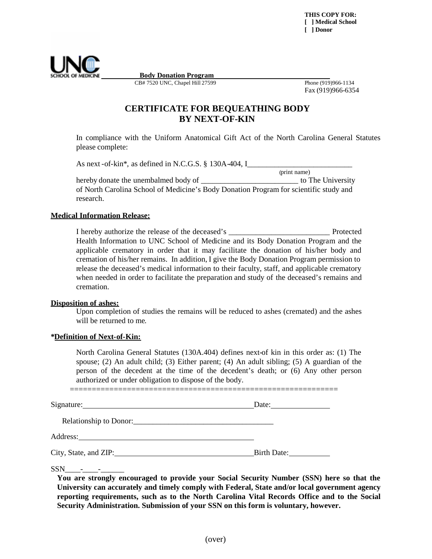

**Body Donation Program**

CB# 7520 UNC, Chapel Hill 27599 Phone (919)966-1134

Fax (919)966-6354

# **CERTIFICATE FOR BEQUEATHING BODY BY NEXT-OF-KIN**

In compliance with the Uniform Anatomical Gift Act of the North Carolina General Statutes please complete:

As next -of-kin\*, as defined in N.C.G.S. § 130A-404, I\_\_\_\_\_\_\_\_\_\_\_\_\_\_\_\_\_\_\_\_\_\_\_\_\_\_

(print name) hereby donate the unembalmed body of \_\_\_\_\_\_\_\_\_\_\_\_\_\_\_\_\_\_\_\_\_\_\_\_\_ to The University of North Carolina School of Medicine's Body Donation Program for scientific study and research.

### **Medical Information Release:**

I hereby authorize the release of the deceased's \_\_\_\_\_\_\_\_\_\_\_\_\_\_\_\_\_\_\_\_\_\_\_\_\_\_ Protected Health Information to UNC School of Medicine and its Body Donation Program and the applicable crematory in order that it may facilitate the donation of his/her body and cremation of his/her remains. In addition, I give the Body Donation Program permission to release the deceased's medical information to their faculty, staff, and applicable crematory when needed in order to facilitate the preparation and study of the deceased's remains and cremation.

### **Disposition of ashes:**

Upon completion of studies the remains will be reduced to ashes (cremated) and the ashes will be returned to me.

### **\*Definition of Next-of-Kin:**

North Carolina General Statutes (130A.404) defines next-of kin in this order as: (1) The spouse; (2) An adult child; (3) Either parent; (4) An adult sibling; (5) A guardian of the person of the decedent at the time of the decedent's death; or (6) Any other person authorized or under obligation to dispose of the body.

Signature: Date: Date: Date: Date: Date: Date: Date: Date: Date: Date: Date: Date: Date: Date: Date: Date: Date: Date: Date: Date: Date: Date: Date: Date: Date: Date: Date: Date: Date: Date: Date: Date: Date: Date: Date: D

=============================================================

Relationship to Donor:\_\_\_\_\_\_\_\_\_\_\_\_\_\_\_\_\_\_\_\_\_\_\_\_\_\_\_\_\_\_\_\_\_\_\_\_

Address: The Committee of the Committee of the Committee of the Committee of the Committee of the Committee of the Committee of the Committee of the Committee of the Committee of the Committee of the Committee of the Commi

City, State, and ZIP: Birth Date:

 $SSN$  - -

**You are strongly encouraged to provide your Social Security Number (SSN) here so that the University can accurately and timely comply with Federal, State and/or local government agency reporting requirements, such as to the North Carolina Vital Records Office and to the Social Security Administration. Submission of your SSN on this form is voluntary, however.**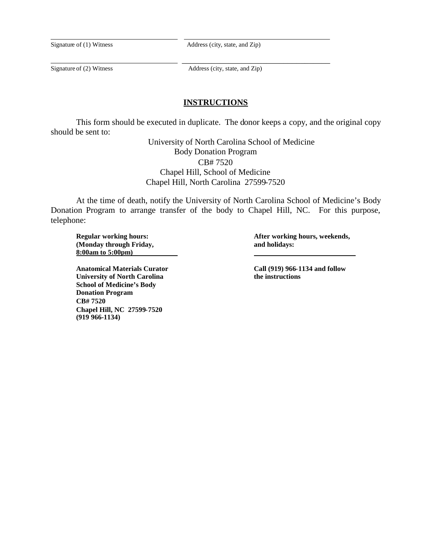Signature of (1) Witness Address (city, state, and Zip)

Signature of (2) Witness Address (city, state, and Zip)

\_\_\_\_\_\_\_\_\_\_\_\_\_\_\_\_\_\_\_\_\_\_\_\_\_\_\_\_\_\_\_\_\_\_\_

### **INSTRUCTIONS**

This form should be executed in duplicate. The donor keeps a copy, and the original copy should be sent to:

> University of North Carolina School of Medicine Body Donation Program CB# 7520 Chapel Hill, School of Medicine Chapel Hill, North Carolina 27599-7520

At the time of death, notify the University of North Carolina School of Medicine's Body Donation Program to arrange transfer of the body to Chapel Hill, NC. For this purpose, telephone:

**(Monday through Friday, and holidays: 8:00am to 5:00pm)**

**Anatomical Materials Curator Call (919) 966-1134 and follow University of North Carolina School of Medicine's Body Donation Program CB# 7520 Chapel Hill, NC 27599-7520 (919 966-1134)**

**Regular working hours: After working hours, weekends,**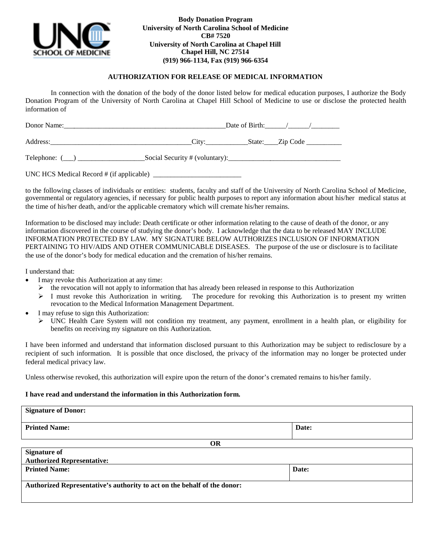

**Body Donation Program University of North Carolina School of Medicine CB# 7520 University of North Carolina at Chapel Hill Chapel Hill, NC 27514 (919) 966-1134, Fax (919) 966-6354**

#### **AUTHORIZATION FOR RELEASE OF MEDICAL INFORMATION**

In connection with the donation of the body of the donor listed below for medical education purposes, I authorize the Body Donation Program of the University of North Carolina at Chapel Hill School of Medicine to use or disclose the protected health information of

| Donor Name:                              |  | Date of Birth: $\frac{1}{2}$ / $\frac{1}{2}$ / $\frac{1}{2}$ |  |
|------------------------------------------|--|--------------------------------------------------------------|--|
|                                          |  | City: State: Zip Code                                        |  |
| Telephone: ()                            |  |                                                              |  |
| UNC HCS Medical Record # (if applicable) |  |                                                              |  |

to the following classes of individuals or entities: students, faculty and staff of the University of North Carolina School of Medicine, governmental or regulatory agencies, if necessary for public health purposes to report any information about his/her medical status at the time of his/her death, and/or the applicable crematory which will cremate his/her remains.

Information to be disclosed may include: Death certificate or other information relating to the cause of death of the donor, or any information discovered in the course of studying the donor's body. I acknowledge that the data to be released MAY INCLUDE INFORMATION PROTECTED BY LAW. MY SIGNATURE BELOW AUTHORIZES INCLUSION OF INFORMATION PERTAINING TO HIV/AIDS AND OTHER COMMUNICABLE DISEASES. The purpose of the use or disclosure is to facilitate the use of the donor's body for medical education and the cremation of his/her remains.

I understand that:

- I may revoke this Authorization at any time:
	- $\triangleright$  the revocation will not apply to information that has already been released in response to this Authorization
	- $\geq 1$  must revoke this Authorization in writing. The procedure for revoking this Authorization is to present my written revocation to the Medical Information Management Department.
- I may refuse to sign this Authorization:
	- UNC Health Care System will not condition my treatment, any payment, enrollment in a health plan, or eligibility for benefits on receiving my signature on this Authorization.

I have been informed and understand that information disclosed pursuant to this Authorization may be subject to redisclosure by a recipient of such information. It is possible that once disclosed, the privacy of the information may no longer be protected under federal medical privacy law.

Unless otherwise revoked, this authorization will expire upon the return of the donor's cremated remains to his/her family.

#### **I have read and understand the information in this Authorization form.**

| <b>Signature of Donor:</b>                                               |       |  |  |  |  |
|--------------------------------------------------------------------------|-------|--|--|--|--|
| <b>Printed Name:</b>                                                     | Date: |  |  |  |  |
| OR                                                                       |       |  |  |  |  |
| <b>Signature of</b>                                                      |       |  |  |  |  |
| <b>Authorized Representative:</b>                                        |       |  |  |  |  |
| <b>Printed Name:</b>                                                     | Date: |  |  |  |  |
| Authorized Representative's authority to act on the behalf of the donor: |       |  |  |  |  |